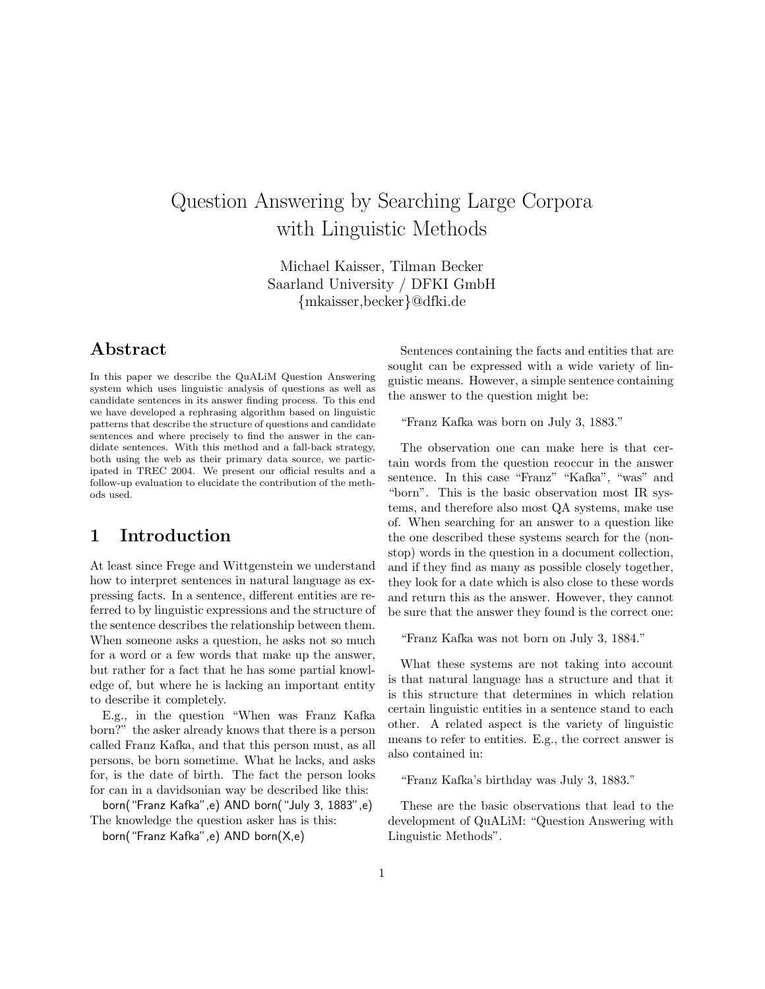# Question Answering by Searching Large Corpora with Linguistic Methods

Michael Kaisser, Tilman Becker Saarland University / DFKI GmbH {mkaisser,becker}@dfki.de

## Abstract

In this paper we describe the QuALiM Question Answering system which uses linguistic analysis of questions as well as candidate sentences in its answer finding process. To this end we have developed a rephrasing algorithm based on linguistic patterns that describe the structure of questions and candidate sentences and where precisely to find the answer in the candidate sentences. With this method and a fall-back strategy, both using the web as their primary data source, we participated in TREC 2004. We present our official results and a follow-up evaluation to elucidate the contribution of the methods used.

## 1 Introduction

At least since Frege and Wittgenstein we understand how to interpret sentences in natural language as expressing facts. In a sentence, different entities are referred to by linguistic expressions and the structure of the sentence describes the relationship between them. When someone asks a question, he asks not so much for a word or a few words that make up the answer, but rather for a fact that he has some partial knowledge of, but where he is lacking an important entity to describe it completely.

E.g., in the question "When was Franz Kafka born?" the asker already knows that there is a person called Franz Kafka, and that this person must, as all persons, be born sometime. What he lacks, and asks for, is the date of birth. The fact the person looks for can in a davidsonian way be described like this:

born("Franz Kafka",e) AND born("July 3, 1883",e) The knowledge the question asker has is this:

born("Franz Kafka",e) AND born(X,e)

Sentences containing the facts and entities that are sought can be expressed with a wide variety of linguistic means. However, a simple sentence containing the answer to the question might be:

"Franz Kafka was born on July 3, 1883."

The observation one can make here is that certain words from the question reoccur in the answer sentence. In this case "Franz" "Kafka", "was" and "born". This is the basic observation most IR systems, and therefore also most QA systems, make use of. When searching for an answer to a question like the one described these systems search for the (nonstop) words in the question in a document collection, and if they find as many as possible closely together, they look for a date which is also close to these words and return this as the answer. However, they cannot be sure that the answer they found is the correct one:

"Franz Kafka was not born on July 3, 1884."

What these systems are not taking into account is that natural language has a structure and that it is this structure that determines in which relation certain linguistic entities in a sentence stand to each other. A related aspect is the variety of linguistic means to refer to entities. E.g., the correct answer is also contained in:

"Franz Kafka's birthday was July 3, 1883."

These are the basic observations that lead to the development of QuALiM: "Question Answering with Linguistic Methods".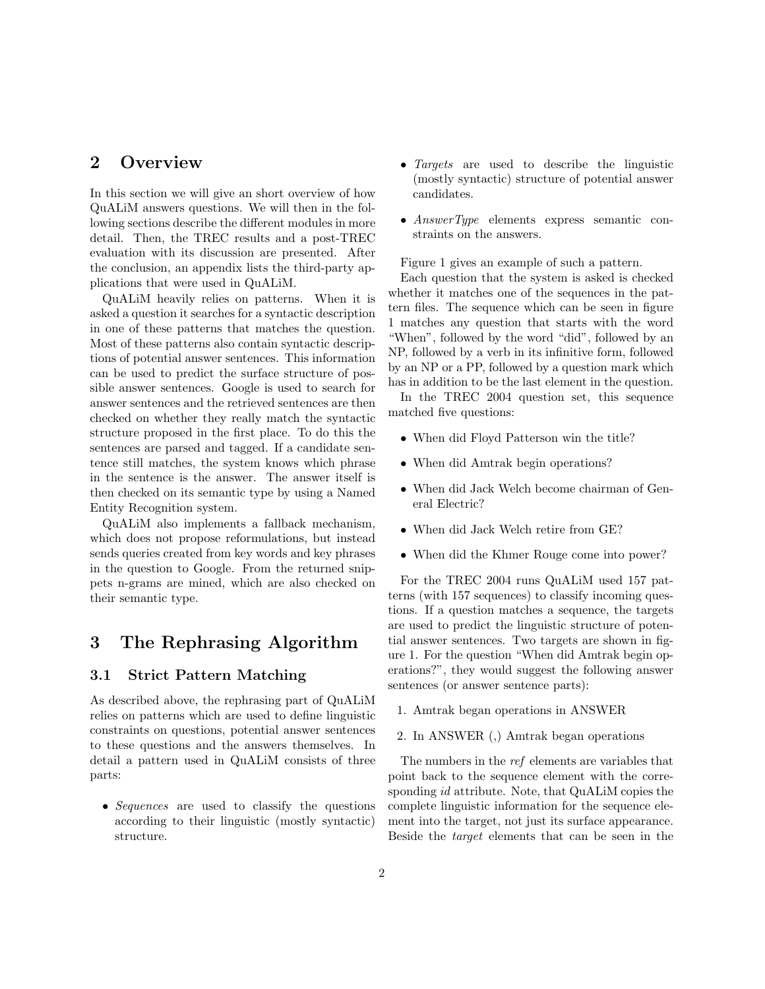#### 2 Overview

In this section we will give an short overview of how QuALiM answers questions. We will then in the following sections describe the different modules in more detail. Then, the TREC results and a post-TREC evaluation with its discussion are presented. After the conclusion, an appendix lists the third-party applications that were used in QuALiM.

QuALiM heavily relies on patterns. When it is asked a question it searches for a syntactic description in one of these patterns that matches the question. Most of these patterns also contain syntactic descriptions of potential answer sentences. This information can be used to predict the surface structure of possible answer sentences. Google is used to search for answer sentences and the retrieved sentences are then checked on whether they really match the syntactic structure proposed in the first place. To do this the sentences are parsed and tagged. If a candidate sentence still matches, the system knows which phrase in the sentence is the answer. The answer itself is then checked on its semantic type by using a Named Entity Recognition system.

QuALiM also implements a fallback mechanism, which does not propose reformulations, but instead sends queries created from key words and key phrases in the question to Google. From the returned snippets n-grams are mined, which are also checked on their semantic type.

## 3 The Rephrasing Algorithm

#### 3.1 Strict Pattern Matching

As described above, the rephrasing part of QuALiM relies on patterns which are used to define linguistic constraints on questions, potential answer sentences to these questions and the answers themselves. In detail a pattern used in QuALiM consists of three parts:

• Sequences are used to classify the questions according to their linguistic (mostly syntactic) structure.

- *Targets* are used to describe the linguistic (mostly syntactic) structure of potential answer candidates.
- AnswerType elements express semantic constraints on the answers.

Figure 1 gives an example of such a pattern.

Each question that the system is asked is checked whether it matches one of the sequences in the pattern files. The sequence which can be seen in figure 1 matches any question that starts with the word "When", followed by the word "did", followed by an NP, followed by a verb in its infinitive form, followed by an NP or a PP, followed by a question mark which has in addition to be the last element in the question.

In the TREC 2004 question set, this sequence matched five questions:

- When did Floyd Patterson win the title?
- When did Amtrak begin operations?
- When did Jack Welch become chairman of General Electric?
- When did Jack Welch retire from GE?
- When did the Khmer Rouge come into power?

For the TREC 2004 runs QuALiM used 157 patterns (with 157 sequences) to classify incoming questions. If a question matches a sequence, the targets are used to predict the linguistic structure of potential answer sentences. Two targets are shown in figure 1. For the question "When did Amtrak begin operations?", they would suggest the following answer sentences (or answer sentence parts):

- 1. Amtrak began operations in ANSWER
- 2. In ANSWER (,) Amtrak began operations

The numbers in the ref elements are variables that point back to the sequence element with the corresponding *id* attribute. Note, that QuALIM copies the complete linguistic information for the sequence element into the target, not just its surface appearance. Beside the target elements that can be seen in the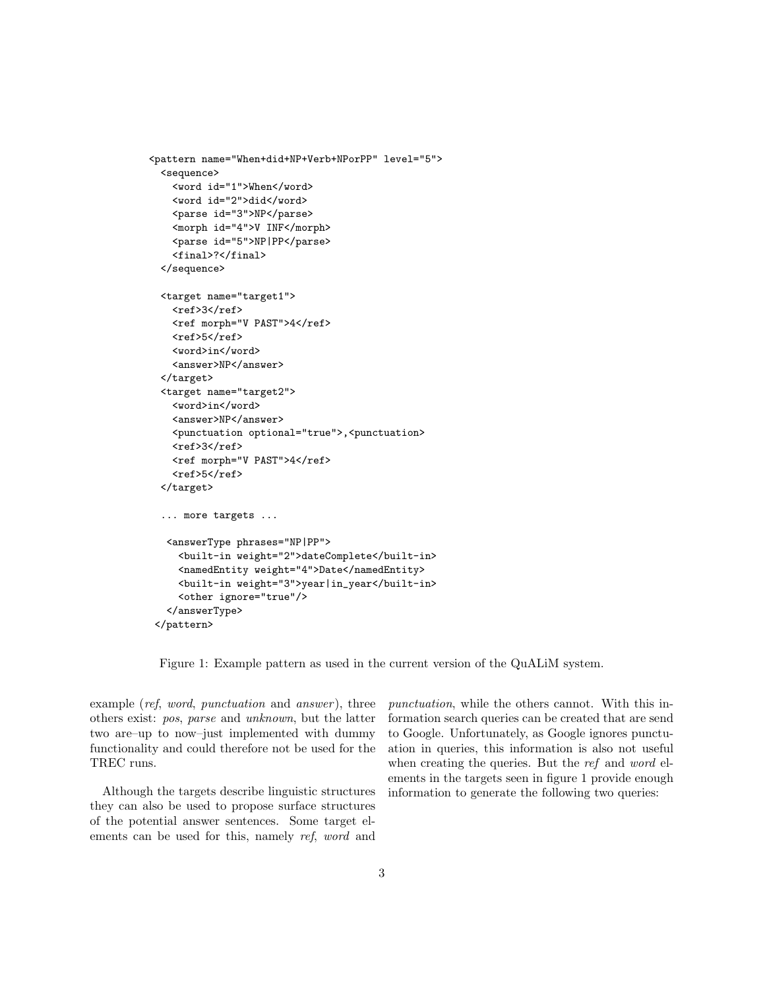```
<pattern name="When+did+NP+Verb+NPorPP" level="5">
 <sequence>
   <word id="1">When</word>
   <word id="2">did</word>
   <parse id="3">NP</parse>
   <morph id="4">V INF</morph>
   <parse id="5">NP|PP</parse>
   <final>?</final>
 </sequence>
 <target name="target1">
   <sub>ref</sub>>3</sub></sub>
   <ref morph="V PAST">4</ref>
   <sub>ref</sub>>5</ref></sub>
   <word>in</word>
   <answer>NP</answer>
 </target>
 <target name="target2">
   <word>in</word>
   <answer>NP</answer>
   <punctuation optional="true">,<punctuation>
   <sub>ref</sub>>3</sub></sub>
   <ref morph="V PAST">4</ref>
   <sub>ref</sub>>5</ref></sub>
 </target>
 ... more targets ...
  <answerType phrases="NP|PP">
    <built-in weight="2">dateComplete</built-in>
    <namedEntity weight="4">Date</namedEntity>
    <built-in weight="3">year|in_year</built-in>
    <other ignore="true"/>
  </answerType>
</pattern>
```
Figure 1: Example pattern as used in the current version of the QuALiM system.

example (ref, word, punctuation and answer), three others exist: pos, parse and unknown, but the latter two are–up to now–just implemented with dummy functionality and could therefore not be used for the TREC runs.

Although the targets describe linguistic structures they can also be used to propose surface structures of the potential answer sentences. Some target elements can be used for this, namely ref, word and

punctuation, while the others cannot. With this information search queries can be created that are send to Google. Unfortunately, as Google ignores punctuation in queries, this information is also not useful when creating the queries. But the ref and word elements in the targets seen in figure 1 provide enough information to generate the following two queries: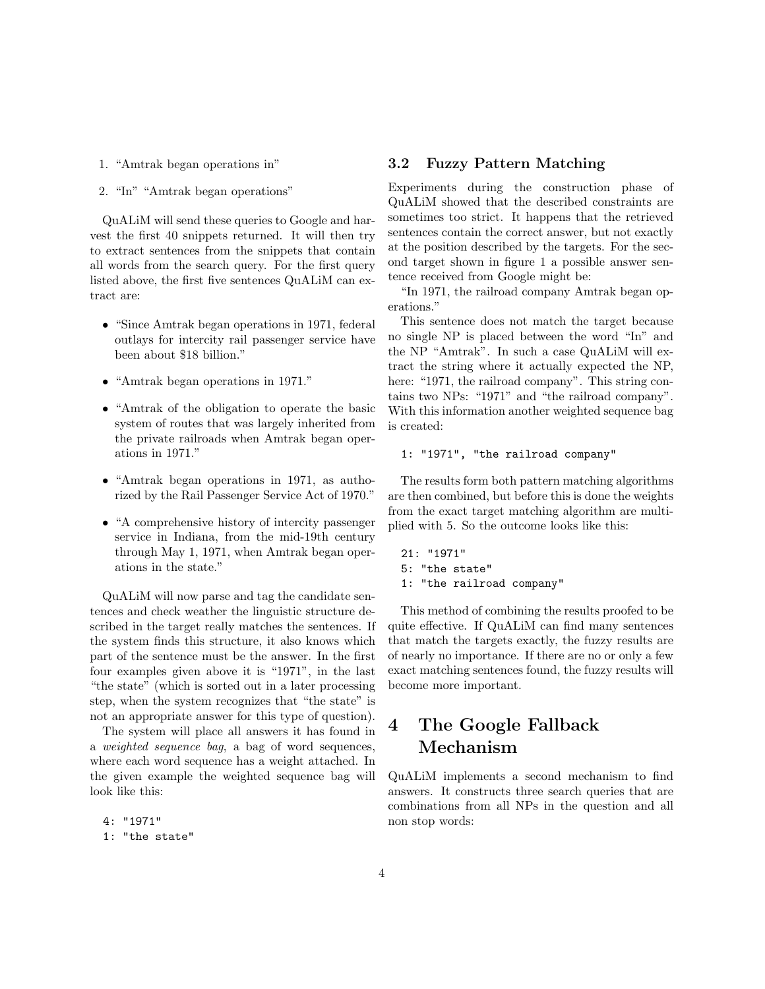- 1. "Amtrak began operations in"
- 2. "In" "Amtrak began operations"

QuALiM will send these queries to Google and harvest the first 40 snippets returned. It will then try to extract sentences from the snippets that contain all words from the search query. For the first query listed above, the first five sentences QuALiM can extract are:

- "Since Amtrak began operations in 1971, federal outlays for intercity rail passenger service have been about \$18 billion."
- "Amtrak began operations in 1971."
- "Amtrak of the obligation to operate the basic system of routes that was largely inherited from the private railroads when Amtrak began operations in 1971."
- "Amtrak began operations in 1971, as authorized by the Rail Passenger Service Act of 1970."
- "A comprehensive history of intercity passenger service in Indiana, from the mid-19th century through May 1, 1971, when Amtrak began operations in the state."

QuALiM will now parse and tag the candidate sentences and check weather the linguistic structure described in the target really matches the sentences. If the system finds this structure, it also knows which part of the sentence must be the answer. In the first four examples given above it is "1971", in the last "the state" (which is sorted out in a later processing step, when the system recognizes that "the state" is not an appropriate answer for this type of question).

The system will place all answers it has found in a weighted sequence bag, a bag of word sequences, where each word sequence has a weight attached. In the given example the weighted sequence bag will look like this:

4: "1971"

#### 3.2 Fuzzy Pattern Matching

Experiments during the construction phase of QuALiM showed that the described constraints are sometimes too strict. It happens that the retrieved sentences contain the correct answer, but not exactly at the position described by the targets. For the second target shown in figure 1 a possible answer sentence received from Google might be:

"In 1971, the railroad company Amtrak began operations."

This sentence does not match the target because no single NP is placed between the word "In" and the NP "Amtrak". In such a case QuALiM will extract the string where it actually expected the NP, here: "1971, the railroad company". This string contains two NPs: "1971" and "the railroad company". With this information another weighted sequence bag is created:

#### 1: "1971", "the railroad company"

The results form both pattern matching algorithms are then combined, but before this is done the weights from the exact target matching algorithm are multiplied with 5. So the outcome looks like this:

21: "1971" 5: "the state" 1: "the railroad company"

This method of combining the results proofed to be quite effective. If QuALiM can find many sentences that match the targets exactly, the fuzzy results are of nearly no importance. If there are no or only a few exact matching sentences found, the fuzzy results will become more important.

## 4 The Google Fallback Mechanism

QuALiM implements a second mechanism to find answers. It constructs three search queries that are combinations from all NPs in the question and all non stop words:

<sup>1: &</sup>quot;the state"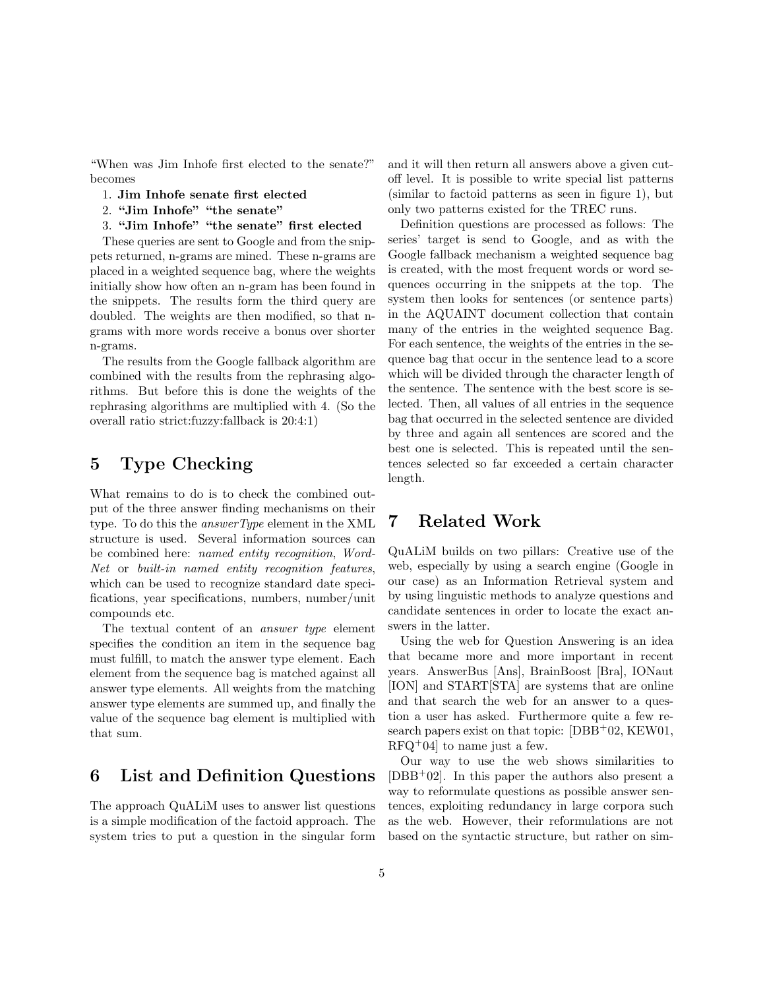"When was Jim Inhofe first elected to the senate?" becomes

- 1. Jim Inhofe senate first elected
- 2. "Jim Inhofe" "the senate"
- 3. "Jim Inhofe" "the senate" first elected

These queries are sent to Google and from the snippets returned, n-grams are mined. These n-grams are placed in a weighted sequence bag, where the weights initially show how often an n-gram has been found in the snippets. The results form the third query are doubled. The weights are then modified, so that ngrams with more words receive a bonus over shorter n-grams.

The results from the Google fallback algorithm are combined with the results from the rephrasing algorithms. But before this is done the weights of the rephrasing algorithms are multiplied with 4. (So the overall ratio strict:fuzzy:fallback is 20:4:1)

#### 5 Type Checking

What remains to do is to check the combined output of the three answer finding mechanisms on their type. To do this the answerType element in the XML structure is used. Several information sources can be combined here: named entity recognition, Word-Net or built-in named entity recognition features, which can be used to recognize standard date specifications, year specifications, numbers, number/unit compounds etc.

The textual content of an answer type element specifies the condition an item in the sequence bag must fulfill, to match the answer type element. Each element from the sequence bag is matched against all answer type elements. All weights from the matching answer type elements are summed up, and finally the value of the sequence bag element is multiplied with that sum.

#### 6 List and Definition Questions

The approach QuALiM uses to answer list questions is a simple modification of the factoid approach. The system tries to put a question in the singular form and it will then return all answers above a given cutoff level. It is possible to write special list patterns (similar to factoid patterns as seen in figure 1), but only two patterns existed for the TREC runs.

Definition questions are processed as follows: The series' target is send to Google, and as with the Google fallback mechanism a weighted sequence bag is created, with the most frequent words or word sequences occurring in the snippets at the top. The system then looks for sentences (or sentence parts) in the AQUAINT document collection that contain many of the entries in the weighted sequence Bag. For each sentence, the weights of the entries in the sequence bag that occur in the sentence lead to a score which will be divided through the character length of the sentence. The sentence with the best score is selected. Then, all values of all entries in the sequence bag that occurred in the selected sentence are divided by three and again all sentences are scored and the best one is selected. This is repeated until the sentences selected so far exceeded a certain character length.

## 7 Related Work

QuALiM builds on two pillars: Creative use of the web, especially by using a search engine (Google in our case) as an Information Retrieval system and by using linguistic methods to analyze questions and candidate sentences in order to locate the exact answers in the latter.

Using the web for Question Answering is an idea that became more and more important in recent years. AnswerBus [Ans], BrainBoost [Bra], IONaut [ION] and START[STA] are systems that are online and that search the web for an answer to a question a user has asked. Furthermore quite a few research papers exist on that topic: [DBB+02, KEW01,  $RFQ+04$  to name just a few.

Our way to use the web shows similarities to  $[DBB+02]$ . In this paper the authors also present a way to reformulate questions as possible answer sentences, exploiting redundancy in large corpora such as the web. However, their reformulations are not based on the syntactic structure, but rather on sim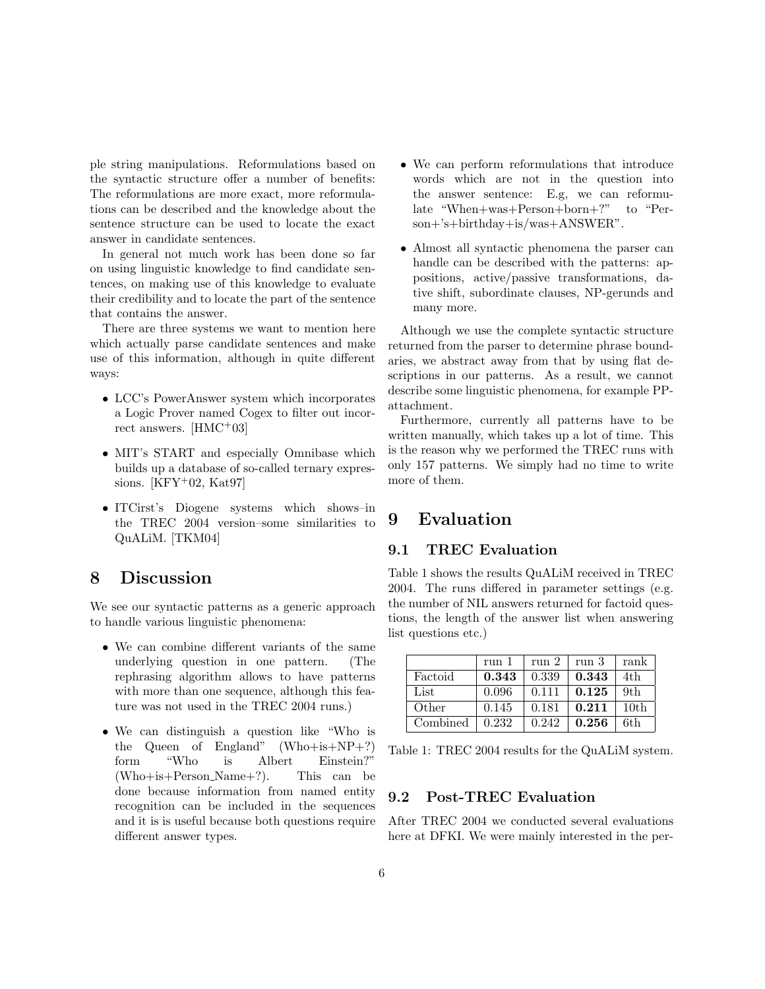ple string manipulations. Reformulations based on the syntactic structure offer a number of benefits: The reformulations are more exact, more reformulations can be described and the knowledge about the sentence structure can be used to locate the exact answer in candidate sentences.

In general not much work has been done so far on using linguistic knowledge to find candidate sentences, on making use of this knowledge to evaluate their credibility and to locate the part of the sentence that contains the answer.

There are three systems we want to mention here which actually parse candidate sentences and make use of this information, although in quite different ways:

- LCC's PowerAnswer system which incorporates a Logic Prover named Cogex to filter out incorrect answers. [HMC<sup>+</sup>03]
- MIT's START and especially Omnibase which builds up a database of so-called ternary expressions.  $[KFY+02, Kat97]$
- ITCirst's Diogene systems which shows–in the TREC 2004 version–some similarities to QuALiM. [TKM04]

## 8 Discussion

We see our syntactic patterns as a generic approach to handle various linguistic phenomena:

- We can combine different variants of the same underlying question in one pattern. (The rephrasing algorithm allows to have patterns with more than one sequence, although this feature was not used in the TREC 2004 runs.)
- We can distinguish a question like "Who is the Queen of England" (Who+is+NP+?) form "Who is Albert Einstein?" (Who+is+Person Name+?). This can be done because information from named entity recognition can be included in the sequences and it is is useful because both questions require different answer types.
- We can perform reformulations that introduce words which are not in the question into the answer sentence: E.g, we can reformulate "When+was+Person+born+?" to "Person+'s+birthday+is/was+ANSWER".
- Almost all syntactic phenomena the parser can handle can be described with the patterns: appositions, active/passive transformations, dative shift, subordinate clauses, NP-gerunds and many more.

Although we use the complete syntactic structure returned from the parser to determine phrase boundaries, we abstract away from that by using flat descriptions in our patterns. As a result, we cannot describe some linguistic phenomena, for example PPattachment.

Furthermore, currently all patterns have to be written manually, which takes up a lot of time. This is the reason why we performed the TREC runs with only 157 patterns. We simply had no time to write more of them.

## 9 Evaluation

#### 9.1 TREC Evaluation

Table 1 shows the results QuALiM received in TREC 2004. The runs differed in parameter settings (e.g. the number of NIL answers returned for factoid questions, the length of the answer list when answering list questions etc.)

|          | run 1 | run <sub>2</sub> | run 3 | rank             |
|----------|-------|------------------|-------|------------------|
| Factoid  | 0.343 | 0.339            | 0.343 | 4th              |
| List     | 0.096 | 0.111            | 0.125 | 9th              |
| Other    | 0.145 | 0.181            | 0.211 | 10 <sub>th</sub> |
| Combined | 0.232 | 0.242            | 0.256 | 6th              |

Table 1: TREC 2004 results for the QuALiM system.

#### 9.2 Post-TREC Evaluation

After TREC 2004 we conducted several evaluations here at DFKI. We were mainly interested in the per-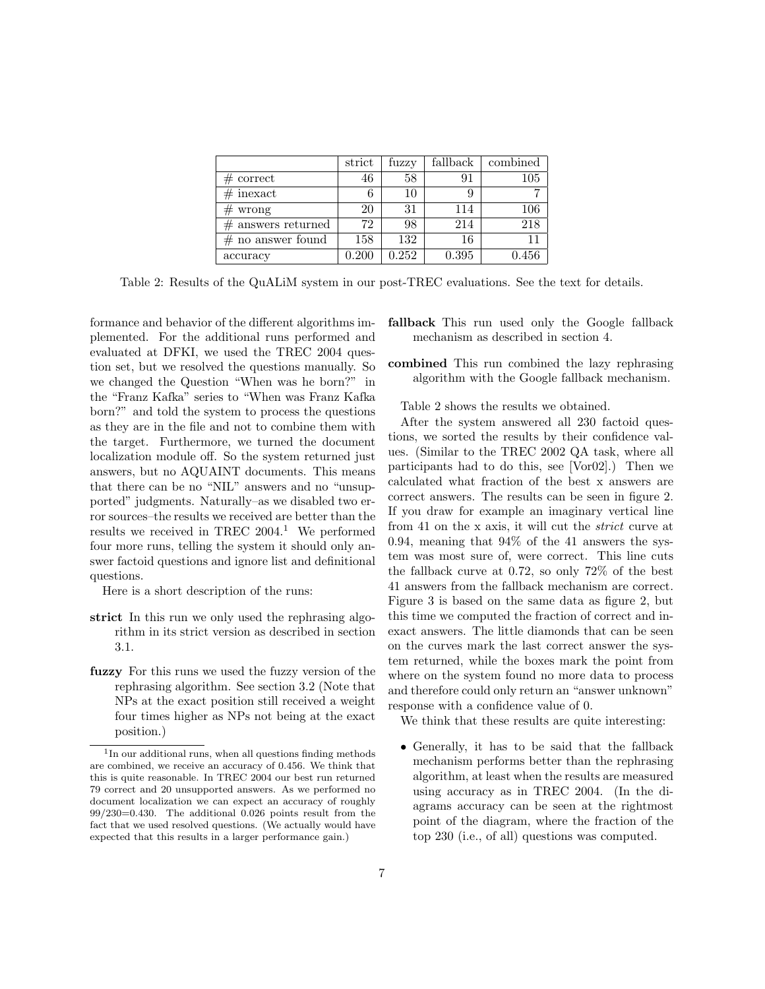|                      | strict | fuzzy | fallback | combined |
|----------------------|--------|-------|----------|----------|
| $#$ correct          | 46     | 58    | 91       | 105      |
| $#$ inexact          |        | 10    |          |          |
| $#$ wrong            | 20     | 31    | 114      | 106      |
| $#$ answers returned | 72     | 98    | 214      | 218      |
| $#$ no answer found  | 158    | 132   | 16       |          |
| accuracy             | 0.200  | 0.252 | 0.395    | 0.456    |

Table 2: Results of the QuALiM system in our post-TREC evaluations. See the text for details.

formance and behavior of the different algorithms implemented. For the additional runs performed and evaluated at DFKI, we used the TREC 2004 question set, but we resolved the questions manually. So we changed the Question "When was he born?" in the "Franz Kafka" series to "When was Franz Kafka born?" and told the system to process the questions as they are in the file and not to combine them with the target. Furthermore, we turned the document localization module off. So the system returned just answers, but no AQUAINT documents. This means that there can be no "NIL" answers and no "unsupported" judgments. Naturally–as we disabled two error sources–the results we received are better than the results we received in TREC 2004.<sup>1</sup> We performed four more runs, telling the system it should only answer factoid questions and ignore list and definitional questions.

Here is a short description of the runs:

- strict In this run we only used the rephrasing algorithm in its strict version as described in section 3.1.
- fuzzy For this runs we used the fuzzy version of the rephrasing algorithm. See section 3.2 (Note that NPs at the exact position still received a weight four times higher as NPs not being at the exact position.)
- fallback This run used only the Google fallback mechanism as described in section 4.
- combined This run combined the lazy rephrasing algorithm with the Google fallback mechanism.

Table 2 shows the results we obtained.

After the system answered all 230 factoid questions, we sorted the results by their confidence values. (Similar to the TREC 2002 QA task, where all participants had to do this, see [Vor02].) Then we calculated what fraction of the best x answers are correct answers. The results can be seen in figure 2. If you draw for example an imaginary vertical line from 41 on the x axis, it will cut the strict curve at 0.94, meaning that 94% of the 41 answers the system was most sure of, were correct. This line cuts the fallback curve at 0.72, so only 72% of the best 41 answers from the fallback mechanism are correct. Figure 3 is based on the same data as figure 2, but this time we computed the fraction of correct and inexact answers. The little diamonds that can be seen on the curves mark the last correct answer the system returned, while the boxes mark the point from where on the system found no more data to process and therefore could only return an "answer unknown" response with a confidence value of 0.

We think that these results are quite interesting:

• Generally, it has to be said that the fallback mechanism performs better than the rephrasing algorithm, at least when the results are measured using accuracy as in TREC 2004. (In the diagrams accuracy can be seen at the rightmost point of the diagram, where the fraction of the top 230 (i.e., of all) questions was computed.

<sup>&</sup>lt;sup>1</sup>In our additional runs, when all questions finding methods are combined, we receive an accuracy of 0.456. We think that this is quite reasonable. In TREC 2004 our best run returned 79 correct and 20 unsupported answers. As we performed no document localization we can expect an accuracy of roughly 99/230=0.430. The additional 0.026 points result from the fact that we used resolved questions. (We actually would have expected that this results in a larger performance gain.)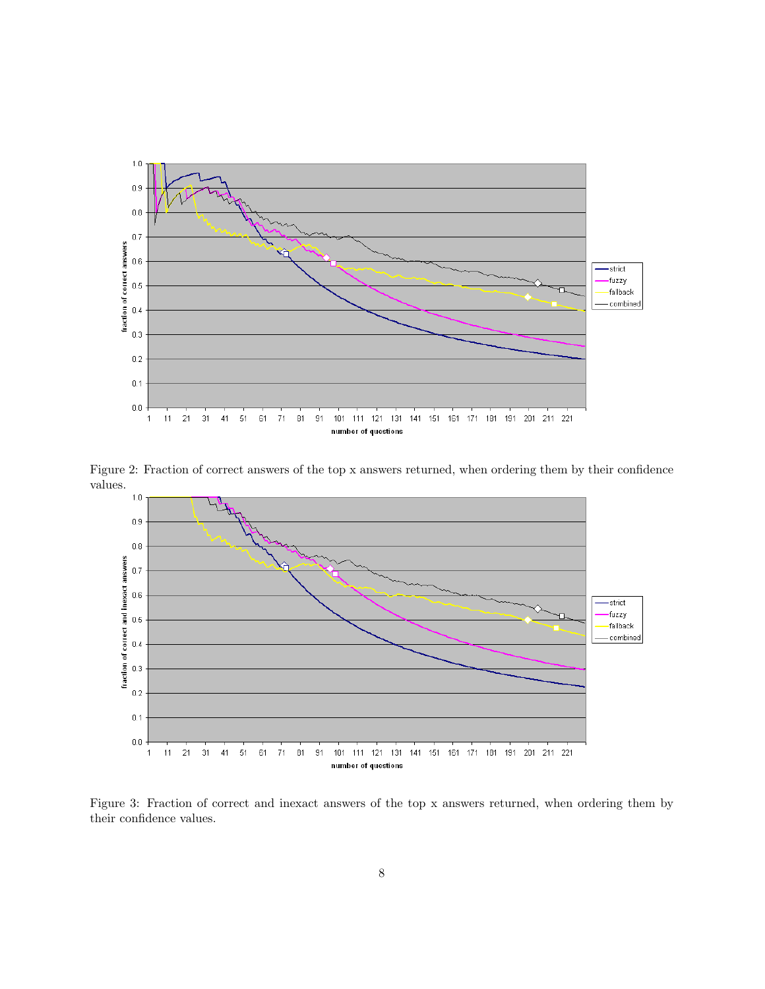

Figure 2: Fraction of correct answers of the top x answers returned, when ordering them by their confidence values.



Figure 3: Fraction of correct and inexact answers of the top x answers returned, when ordering them by their confidence values.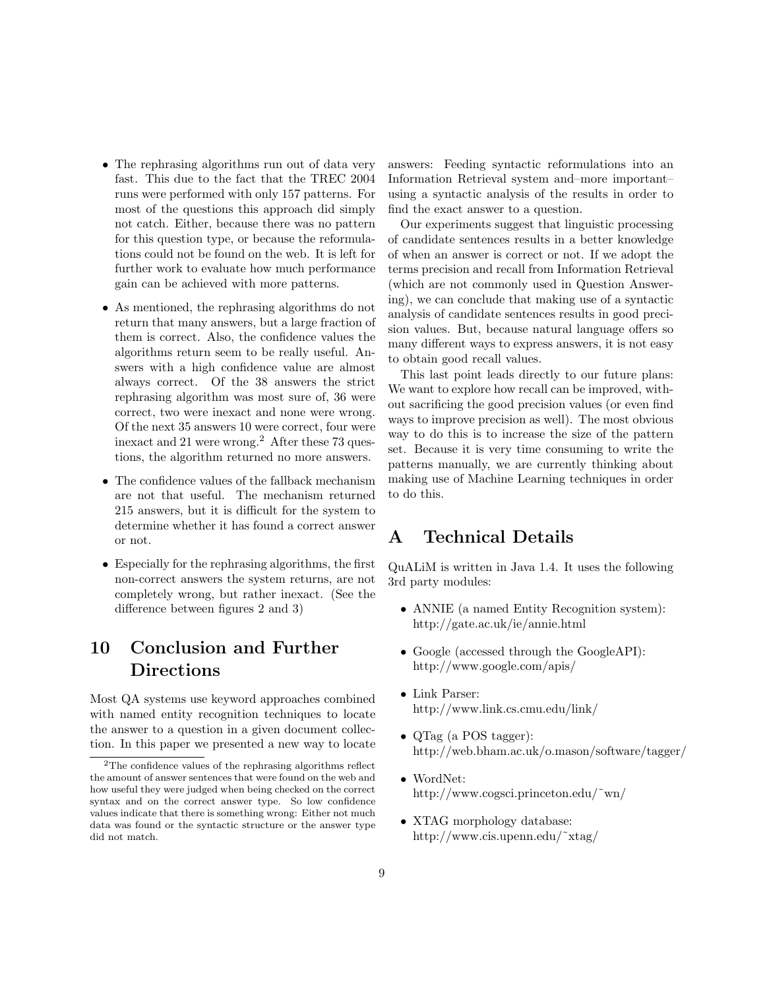- The rephrasing algorithms run out of data very fast. This due to the fact that the TREC 2004 runs were performed with only 157 patterns. For most of the questions this approach did simply not catch. Either, because there was no pattern for this question type, or because the reformulations could not be found on the web. It is left for further work to evaluate how much performance gain can be achieved with more patterns.
- As mentioned, the rephrasing algorithms do not return that many answers, but a large fraction of them is correct. Also, the confidence values the algorithms return seem to be really useful. Answers with a high confidence value are almost always correct. Of the 38 answers the strict rephrasing algorithm was most sure of, 36 were correct, two were inexact and none were wrong. Of the next 35 answers 10 were correct, four were inexact and 21 were wrong.<sup>2</sup> After these 73 questions, the algorithm returned no more answers.
- The confidence values of the fallback mechanism are not that useful. The mechanism returned 215 answers, but it is difficult for the system to determine whether it has found a correct answer or not.
- Especially for the rephrasing algorithms, the first non-correct answers the system returns, are not completely wrong, but rather inexact. (See the difference between figures 2 and 3)

## 10 Conclusion and Further Directions

Most QA systems use keyword approaches combined with named entity recognition techniques to locate the answer to a question in a given document collection. In this paper we presented a new way to locate answers: Feeding syntactic reformulations into an Information Retrieval system and–more important– using a syntactic analysis of the results in order to find the exact answer to a question.

Our experiments suggest that linguistic processing of candidate sentences results in a better knowledge of when an answer is correct or not. If we adopt the terms precision and recall from Information Retrieval (which are not commonly used in Question Answering), we can conclude that making use of a syntactic analysis of candidate sentences results in good precision values. But, because natural language offers so many different ways to express answers, it is not easy to obtain good recall values.

This last point leads directly to our future plans: We want to explore how recall can be improved, without sacrificing the good precision values (or even find ways to improve precision as well). The most obvious way to do this is to increase the size of the pattern set. Because it is very time consuming to write the patterns manually, we are currently thinking about making use of Machine Learning techniques in order to do this.

## A Technical Details

QuALiM is written in Java 1.4. It uses the following 3rd party modules:

- ANNIE (a named Entity Recognition system): http://gate.ac.uk/ie/annie.html
- Google (accessed through the GoogleAPI): http://www.google.com/apis/
- Link Parser: http://www.link.cs.cmu.edu/link/
- QTag (a POS tagger): http://web.bham.ac.uk/o.mason/software/tagger/
- WordNet: http://www.cogsci.princeton.edu/˜wn/
- XTAG morphology database: http://www.cis.upenn.edu/˜xtag/

<sup>2</sup>The confidence values of the rephrasing algorithms reflect the amount of answer sentences that were found on the web and how useful they were judged when being checked on the correct syntax and on the correct answer type. So low confidence values indicate that there is something wrong: Either not much data was found or the syntactic structure or the answer type did not match.